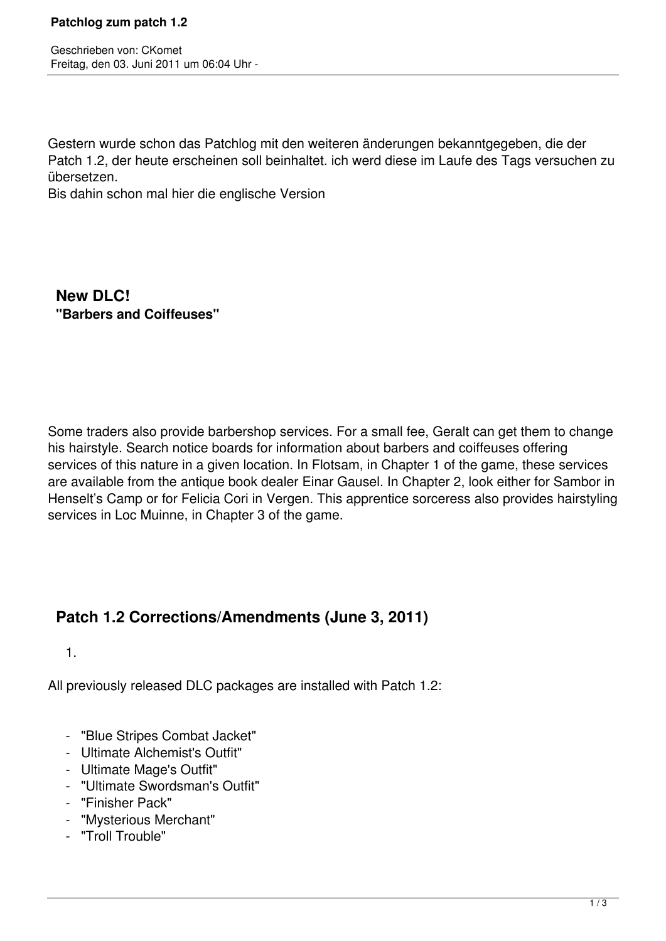Geschrieben von: CKomet Freitag, den 03. Juni 2011 um 06:04 Uhr -

Gestern wurde schon das Patchlog mit den weiteren änderungen bekanntgegeben, die der Patch 1.2, der heute erscheinen soll beinhaltet. ich werd diese im Laufe des Tags versuchen zu übersetzen.

Bis dahin schon mal hier die englische Version

 **New DLC! "Barbers and Coiffeuses"**

Some traders also provide barbershop services. For a small fee, Geralt can get them to change his hairstyle. Search notice boards for information about barbers and coiffeuses offering services of this nature in a given location. In Flotsam, in Chapter 1 of the game, these services are available from the antique book dealer Einar Gausel. In Chapter 2, look either for Sambor in Henselt's Camp or for Felicia Cori in Vergen. This apprentice sorceress also provides hairstyling services in Loc Muinne, in Chapter 3 of the game.

## **Patch 1.2 Corrections/Amendments (June 3, 2011)**

1.

All previously released DLC packages are installed with Patch 1.2:

- "Blue Stripes Combat Jacket"
- Ultimate Alchemist's Outfit"
- Ultimate Mage's Outfit"
- "Ultimate Swordsman's Outfit"
- "Finisher Pack"
- "Mysterious Merchant"
- "Troll Trouble"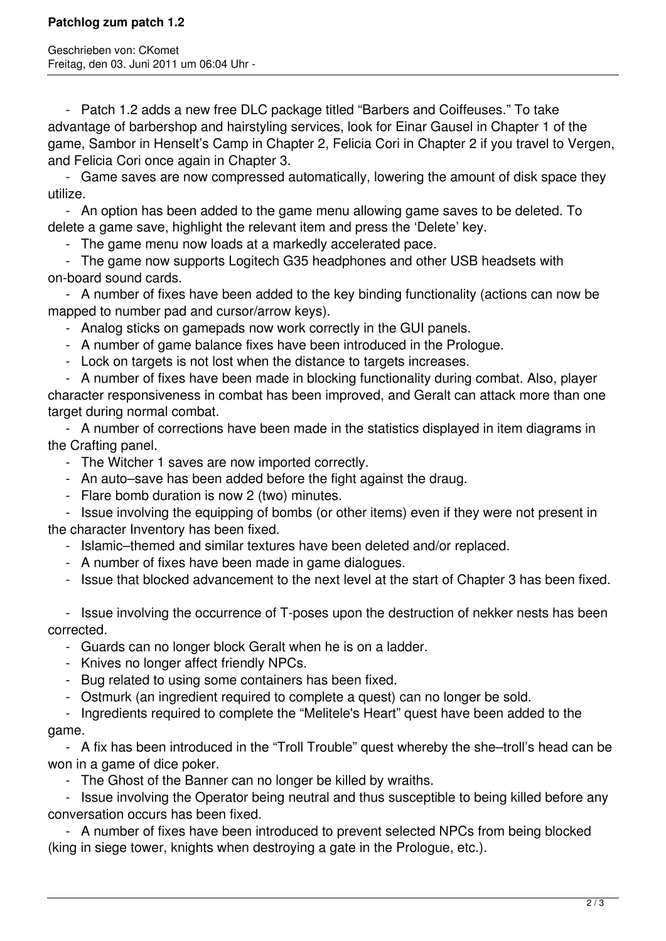Geschrieben von: CKomet Freitag, den 03. Juni 2011 um 06:04 Uhr -

 - Patch 1.2 adds a new free DLC package titled "Barbers and Coiffeuses." To take advantage of barbershop and hairstyling services, look for Einar Gausel in Chapter 1 of the game, Sambor in Henselt's Camp in Chapter 2, Felicia Cori in Chapter 2 if you travel to Vergen, and Felicia Cori once again in Chapter 3.

 - Game saves are now compressed automatically, lowering the amount of disk space they utilize.

 - An option has been added to the game menu allowing game saves to be deleted. To delete a game save, highlight the relevant item and press the 'Delete' key.

- The game menu now loads at a markedly accelerated pace.

 - The game now supports Logitech G35 headphones and other USB headsets with on-board sound cards.

 - A number of fixes have been added to the key binding functionality (actions can now be mapped to number pad and cursor/arrow keys).

- Analog sticks on gamepads now work correctly in the GUI panels.

- A number of game balance fixes have been introduced in the Prologue.
- Lock on targets is not lost when the distance to targets increases.

 - A number of fixes have been made in blocking functionality during combat. Also, player character responsiveness in combat has been improved, and Geralt can attack more than one target during normal combat.

 - A number of corrections have been made in the statistics displayed in item diagrams in the Crafting panel.

- The Witcher 1 saves are now imported correctly.
- An auto–save has been added before the fight against the draug.
- Flare bomb duration is now 2 (two) minutes.

 - Issue involving the equipping of bombs (or other items) even if they were not present in the character Inventory has been fixed.

- Islamic–themed and similar textures have been deleted and/or replaced.
- A number of fixes have been made in game dialogues.
- Issue that blocked advancement to the next level at the start of Chapter 3 has been fixed.

 - Issue involving the occurrence of T-poses upon the destruction of nekker nests has been corrected.

- Guards can no longer block Geralt when he is on a ladder.
- Knives no longer affect friendly NPCs.
- Bug related to using some containers has been fixed.
- Ostmurk (an ingredient required to complete a quest) can no longer be sold.

 - Ingredients required to complete the "Melitele's Heart" quest have been added to the game.

 - A fix has been introduced in the "Troll Trouble" quest whereby the she–troll's head can be won in a game of dice poker.

- The Ghost of the Banner can no longer be killed by wraiths.

 - Issue involving the Operator being neutral and thus susceptible to being killed before any conversation occurs has been fixed.

 - A number of fixes have been introduced to prevent selected NPCs from being blocked (king in siege tower, knights when destroying a gate in the Prologue, etc.).